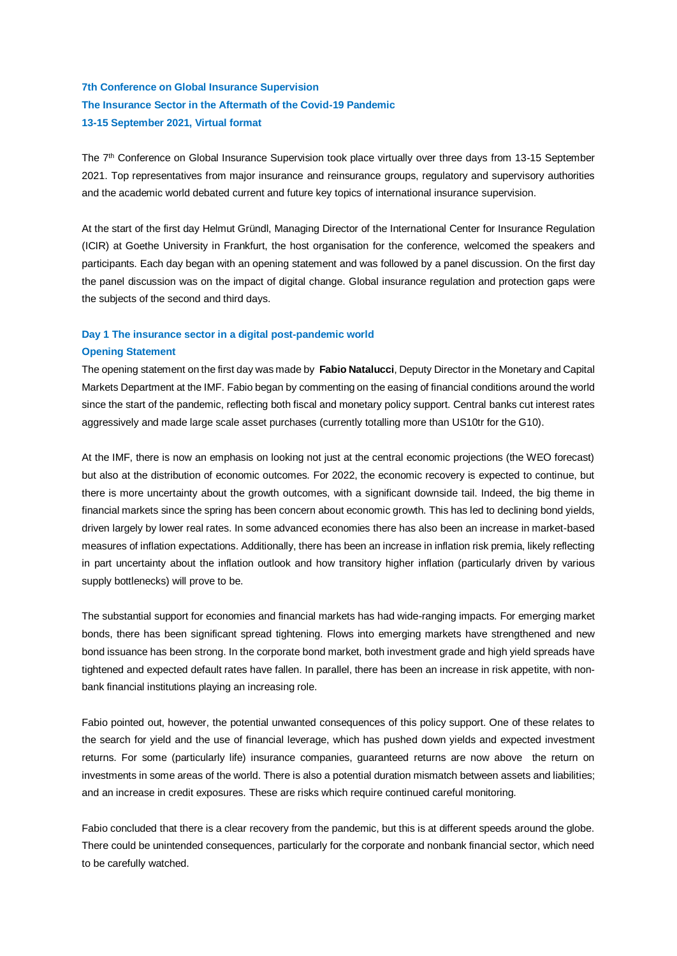# **7th Conference on Global Insurance Supervision The Insurance Sector in the Aftermath of the Covid-19 Pandemic 13-15 September 2021, Virtual format**

The 7<sup>th</sup> Conference on Global Insurance Supervision took place virtually over three days from 13-15 September 2021. Top representatives from major insurance and reinsurance groups, regulatory and supervisory authorities and the academic world debated current and future key topics of international insurance supervision.

At the start of the first day Helmut Gründl, Managing Director of the International Center for Insurance Regulation (ICIR) at Goethe University in Frankfurt, the host organisation for the conference, welcomed the speakers and participants. Each day began with an opening statement and was followed by a panel discussion. On the first day the panel discussion was on the impact of digital change. Global insurance regulation and protection gaps were the subjects of the second and third days.

## **Day 1 The insurance sector in a digital post-pandemic world**

### **Opening Statement**

The opening statement on the first day was made by **Fabio Natalucci**, Deputy Director in the Monetary and Capital Markets Department at the IMF. Fabio began by commenting on the easing of financial conditions around the world since the start of the pandemic, reflecting both fiscal and monetary policy support. Central banks cut interest rates aggressively and made large scale asset purchases (currently totalling more than US10tr for the G10).

At the IMF, there is now an emphasis on looking not just at the central economic projections (the WEO forecast) but also at the distribution of economic outcomes. For 2022, the economic recovery is expected to continue, but there is more uncertainty about the growth outcomes, with a significant downside tail. Indeed, the big theme in financial markets since the spring has been concern about economic growth. This has led to declining bond yields, driven largely by lower real rates. In some advanced economies there has also been an increase in market-based measures of inflation expectations. Additionally, there has been an increase in inflation risk premia, likely reflecting in part uncertainty about the inflation outlook and how transitory higher inflation (particularly driven by various supply bottlenecks) will prove to be.

The substantial support for economies and financial markets has had wide-ranging impacts. For emerging market bonds, there has been significant spread tightening. Flows into emerging markets have strengthened and new bond issuance has been strong. In the corporate bond market, both investment grade and high yield spreads have tightened and expected default rates have fallen. In parallel, there has been an increase in risk appetite, with nonbank financial institutions playing an increasing role.

Fabio pointed out, however, the potential unwanted consequences of this policy support. One of these relates to the search for yield and the use of financial leverage, which has pushed down yields and expected investment returns. For some (particularly life) insurance companies, guaranteed returns are now above the return on investments in some areas of the world. There is also a potential duration mismatch between assets and liabilities; and an increase in credit exposures. These are risks which require continued careful monitoring.

Fabio concluded that there is a clear recovery from the pandemic, but this is at different speeds around the globe. There could be unintended consequences, particularly for the corporate and nonbank financial sector, which need to be carefully watched.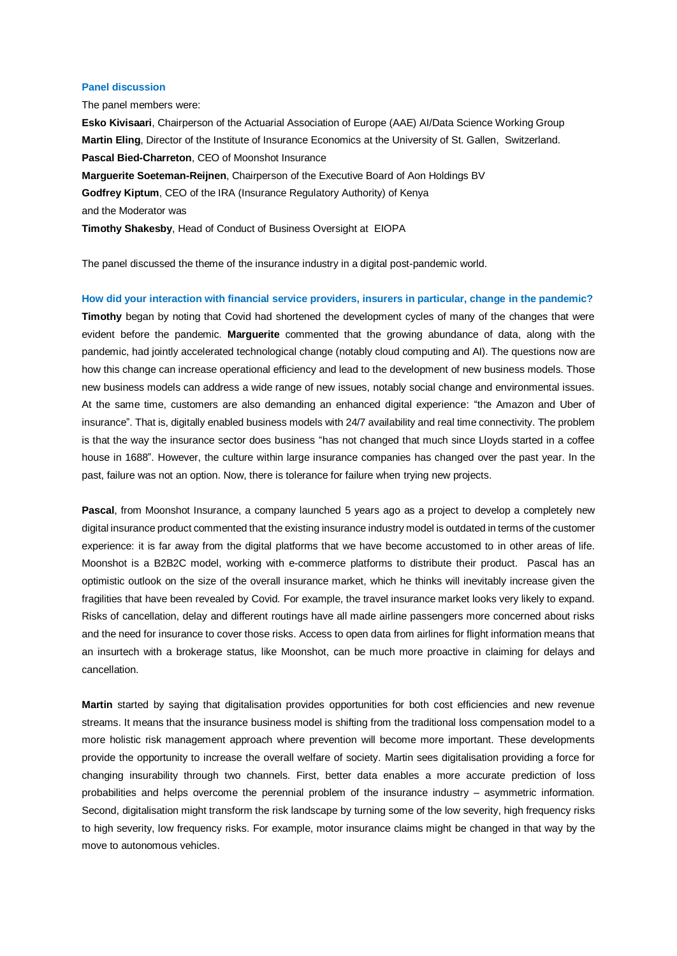### **Panel discussion**

The panel members were:

**Esko Kivisaari**, Chairperson of the Actuarial Association of Europe (AAE) AI/Data Science Working Group **Martin Eling**, Director of the Institute of Insurance Economics at the University of St. Gallen, Switzerland. **Pascal Bied-Charreton**, CEO of Moonshot Insurance **Marguerite Soeteman-Reijnen**, Chairperson of the Executive Board of Aon Holdings BV **Godfrey Kiptum**, CEO of the IRA (Insurance Regulatory Authority) of Kenya and the Moderator was **Timothy Shakesby**, Head of Conduct of Business Oversight at EIOPA

The panel discussed the theme of the insurance industry in a digital post-pandemic world.

**How did your interaction with financial service providers, insurers in particular, change in the pandemic? Timothy** began by noting that Covid had shortened the development cycles of many of the changes that were evident before the pandemic. **Marguerite** commented that the growing abundance of data, along with the pandemic, had jointly accelerated technological change (notably cloud computing and AI). The questions now are how this change can increase operational efficiency and lead to the development of new business models. Those new business models can address a wide range of new issues, notably social change and environmental issues. At the same time, customers are also demanding an enhanced digital experience: "the Amazon and Uber of insurance". That is, digitally enabled business models with 24/7 availability and real time connectivity. The problem is that the way the insurance sector does business "has not changed that much since Lloyds started in a coffee house in 1688". However, the culture within large insurance companies has changed over the past year. In the past, failure was not an option. Now, there is tolerance for failure when trying new projects.

**Pascal**, from Moonshot Insurance, a company launched 5 years ago as a project to develop a completely new digital insurance product commented that the existing insurance industry model is outdated in terms of the customer experience: it is far away from the digital platforms that we have become accustomed to in other areas of life. Moonshot is a B2B2C model, working with e-commerce platforms to distribute their product. Pascal has an optimistic outlook on the size of the overall insurance market, which he thinks will inevitably increase given the fragilities that have been revealed by Covid. For example, the travel insurance market looks very likely to expand. Risks of cancellation, delay and different routings have all made airline passengers more concerned about risks and the need for insurance to cover those risks. Access to open data from airlines for flight information means that an insurtech with a brokerage status, like Moonshot, can be much more proactive in claiming for delays and cancellation.

**Martin** started by saying that digitalisation provides opportunities for both cost efficiencies and new revenue streams. It means that the insurance business model is shifting from the traditional loss compensation model to a more holistic risk management approach where prevention will become more important. These developments provide the opportunity to increase the overall welfare of society. Martin sees digitalisation providing a force for changing insurability through two channels. First, better data enables a more accurate prediction of loss probabilities and helps overcome the perennial problem of the insurance industry – asymmetric information. Second, digitalisation might transform the risk landscape by turning some of the low severity, high frequency risks to high severity, low frequency risks. For example, motor insurance claims might be changed in that way by the move to autonomous vehicles.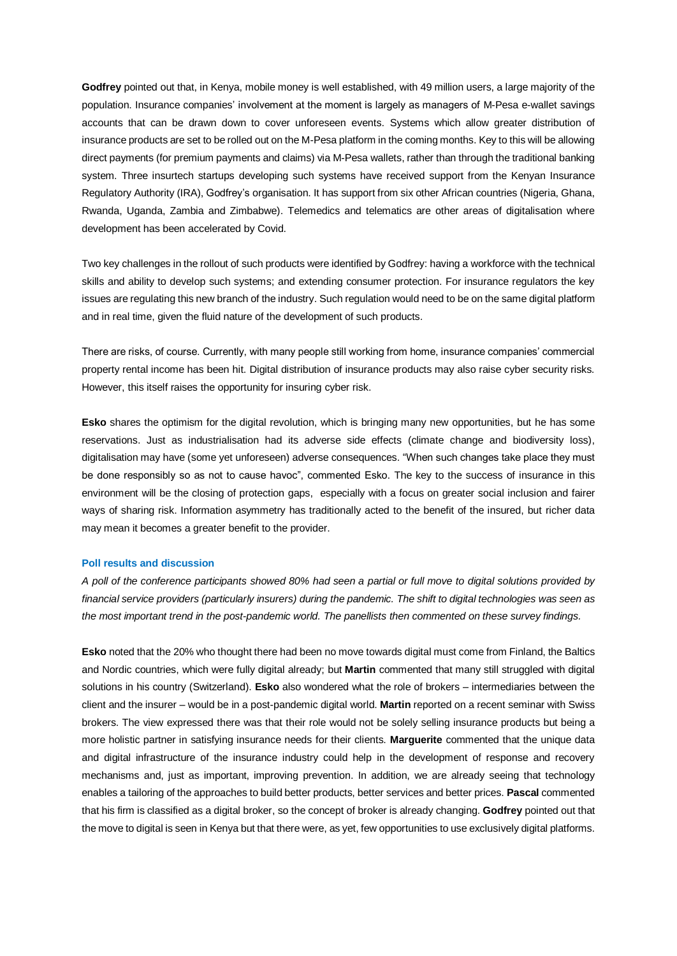**Godfrey** pointed out that, in Kenya, mobile money is well established, with 49 million users, a large majority of the population. Insurance companies' involvement at the moment is largely as managers of M-Pesa e-wallet savings accounts that can be drawn down to cover unforeseen events. Systems which allow greater distribution of insurance products are set to be rolled out on the M-Pesa platform in the coming months. Key to this will be allowing direct payments (for premium payments and claims) via M-Pesa wallets, rather than through the traditional banking system. Three insurtech startups developing such systems have received support from the Kenyan Insurance Regulatory Authority (IRA), Godfrey's organisation. It has support from six other African countries (Nigeria, Ghana, Rwanda, Uganda, Zambia and Zimbabwe). Telemedics and telematics are other areas of digitalisation where development has been accelerated by Covid.

Two key challenges in the rollout of such products were identified by Godfrey: having a workforce with the technical skills and ability to develop such systems; and extending consumer protection. For insurance regulators the key issues are regulating this new branch of the industry. Such regulation would need to be on the same digital platform and in real time, given the fluid nature of the development of such products.

There are risks, of course. Currently, with many people still working from home, insurance companies' commercial property rental income has been hit. Digital distribution of insurance products may also raise cyber security risks. However, this itself raises the opportunity for insuring cyber risk.

**Esko** shares the optimism for the digital revolution, which is bringing many new opportunities, but he has some reservations. Just as industrialisation had its adverse side effects (climate change and biodiversity loss), digitalisation may have (some yet unforeseen) adverse consequences. "When such changes take place they must be done responsibly so as not to cause havoc", commented Esko. The key to the success of insurance in this environment will be the closing of protection gaps, especially with a focus on greater social inclusion and fairer ways of sharing risk. Information asymmetry has traditionally acted to the benefit of the insured, but richer data may mean it becomes a greater benefit to the provider.

### **Poll results and discussion**

*A poll of the conference participants showed 80% had seen a partial or full move to digital solutions provided by financial service providers (particularly insurers) during the pandemic. The shift to digital technologies was seen as the most important trend in the post-pandemic world. The panellists then commented on these survey findings.*

**Esko** noted that the 20% who thought there had been no move towards digital must come from Finland, the Baltics and Nordic countries, which were fully digital already; but **Martin** commented that many still struggled with digital solutions in his country (Switzerland). **Esko** also wondered what the role of brokers – intermediaries between the client and the insurer – would be in a post-pandemic digital world. **Martin** reported on a recent seminar with Swiss brokers. The view expressed there was that their role would not be solely selling insurance products but being a more holistic partner in satisfying insurance needs for their clients. **Marguerite** commented that the unique data and digital infrastructure of the insurance industry could help in the development of response and recovery mechanisms and, just as important, improving prevention. In addition, we are already seeing that technology enables a tailoring of the approaches to build better products, better services and better prices. **Pascal** commented that his firm is classified as a digital broker, so the concept of broker is already changing. **Godfrey** pointed out that the move to digital is seen in Kenya but that there were, as yet, few opportunities to use exclusively digital platforms.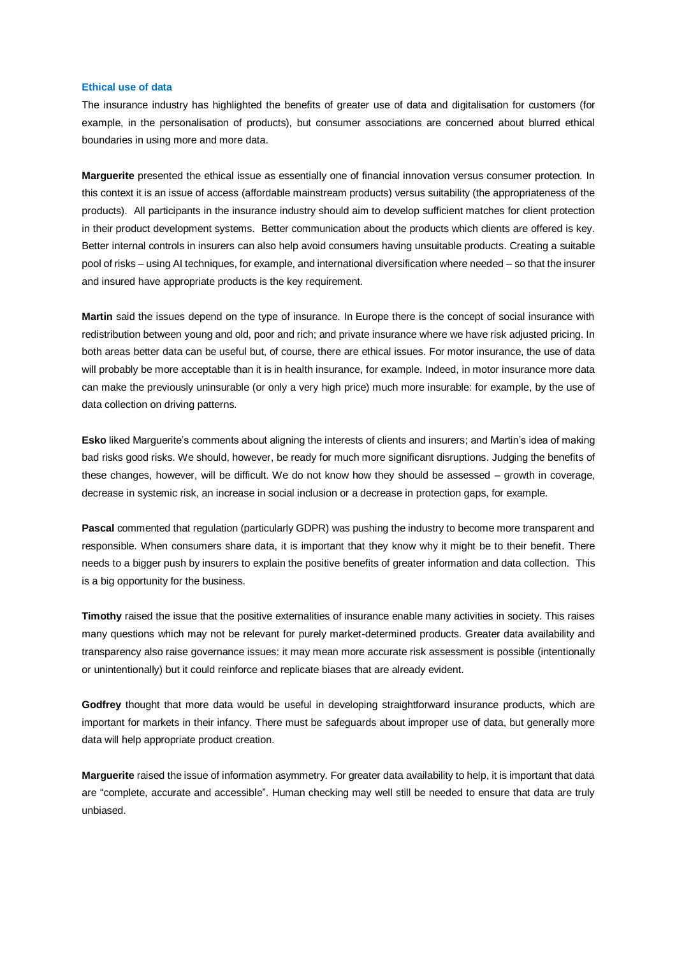#### **Ethical use of data**

The insurance industry has highlighted the benefits of greater use of data and digitalisation for customers (for example, in the personalisation of products), but consumer associations are concerned about blurred ethical boundaries in using more and more data.

**Marguerite** presented the ethical issue as essentially one of financial innovation versus consumer protection. In this context it is an issue of access (affordable mainstream products) versus suitability (the appropriateness of the products). All participants in the insurance industry should aim to develop sufficient matches for client protection in their product development systems. Better communication about the products which clients are offered is key. Better internal controls in insurers can also help avoid consumers having unsuitable products. Creating a suitable pool of risks – using AI techniques, for example, and international diversification where needed – so that the insurer and insured have appropriate products is the key requirement.

**Martin** said the issues depend on the type of insurance. In Europe there is the concept of social insurance with redistribution between young and old, poor and rich; and private insurance where we have risk adjusted pricing. In both areas better data can be useful but, of course, there are ethical issues. For motor insurance, the use of data will probably be more acceptable than it is in health insurance, for example. Indeed, in motor insurance more data can make the previously uninsurable (or only a very high price) much more insurable: for example, by the use of data collection on driving patterns.

**Esko** liked Marguerite's comments about aligning the interests of clients and insurers; and Martin's idea of making bad risks good risks. We should, however, be ready for much more significant disruptions. Judging the benefits of these changes, however, will be difficult. We do not know how they should be assessed – growth in coverage, decrease in systemic risk, an increase in social inclusion or a decrease in protection gaps, for example.

**Pascal** commented that regulation (particularly GDPR) was pushing the industry to become more transparent and responsible. When consumers share data, it is important that they know why it might be to their benefit. There needs to a bigger push by insurers to explain the positive benefits of greater information and data collection. This is a big opportunity for the business.

**Timothy** raised the issue that the positive externalities of insurance enable many activities in society. This raises many questions which may not be relevant for purely market-determined products. Greater data availability and transparency also raise governance issues: it may mean more accurate risk assessment is possible (intentionally or unintentionally) but it could reinforce and replicate biases that are already evident.

**Godfrey** thought that more data would be useful in developing straightforward insurance products, which are important for markets in their infancy. There must be safeguards about improper use of data, but generally more data will help appropriate product creation.

**Marguerite** raised the issue of information asymmetry. For greater data availability to help, it is important that data are "complete, accurate and accessible". Human checking may well still be needed to ensure that data are truly unbiased.